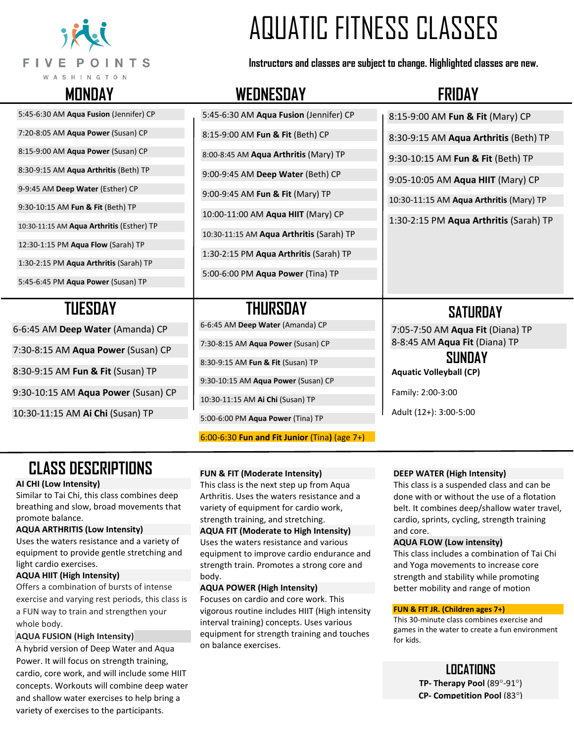

# AQUATIC FITNESS CLASSES

**Instructors and classes are subject to change. Highlighted classes are new.**

# **MONDAY WEDNESDAY FRIDAY**

5:45-6:30 AM **Aqua Fusion** (Jennifer) CP 7:20-8:05 AM **Aqua Power** (Susan) CP

8:15-9:00 AM **Aqua Power** (Susan) CP

8:30-9:15 AM **Aqua Arthritis** (Beth) TP

9-9:45 AM **Deep Water** (Esther) CP

9:30-10:15 AM **Fun & Fit** (Beth) TP

10:30-11:15 AM **Aqua Arthritis** (Esther) TP

12:30-1:15 PM **Aqua Flow** (Sarah) TP

1:30-2:15 PM **Aqua Arthritis** (Sarah) TP

5:45-6:45 PM **Aqua Power** (Susan) TP

6-6:45 AM **Deep Water** (Amanda) CP

7:30-8:15 AM **Aqua Power** (Susan) CP

8:30-9:15 AM **Fun & Fit** (Susan) TP

9:30-10:15 AM **Aqua Power** (Susan) CP

10:30-11:15 AM **Ai Chi** (Susan) TP

# 5:45-6:30 AM **Aqua Fusion** (Jennifer) CP 8:15-9:00 AM **Fun & Fit** (Beth) CP 8:00-8:45 AM **Aqua Arthritis** (Mary) TP 9:00-9:45 AM **Deep Water** (Beth) CP 9:00-9:45 AM **Fun & Fit** (Mary) TP 10:00-11:00 AM **Aqua HIIT** (Mary) CP 10:30-11:15 AM **Aqua Arthritis** (Sarah) TP 1:30-2:15 PM **Aqua Arthritis** (Sarah) TP 5:00-6:00 PM **Aqua Power** (Tina) TP 8:15-9:00 AM **Fun & Fit** (Mary) CP  **TUESDAY THURSDAY**  6-6:45 AM **Deep Water** (Amanda) CP

7:30-8:15 AM **Aqua Power** (Susan) CP

8:30-9:15 AM **Fun & Fit** (Susan) TP

9:30-10:15 AM **Aqua Power** (Susan) CP

10:30-11:15 AM **Ai Chi** (Susan) TP

5:00-6:00 PM **Aqua Power** (Tina) TP

6:00-6:30 **Fun and Fit Junior** (Tina**)** (age 7+)

**DEEP WATER (High Intensity)**

This class is a suspended class and can be done with or without the use of a flotation belt. It combines deep/shallow water travel, cardio, sprints, cycling, strength training and core.

#### **AQUA FLOW (Low intensity)**

This class includes a combination of Tai Chi and Yoga movements to increase core strength and stability while promoting better mobility and range of motion

#### **FUN & FIT JR. (Children ages 7+)**

This 30-minute class combines exercise and games in the water to create a fun environment for kids.

> **LOCATIONS TP- Therapy Pool** (89°-91°) **CP- Competition Pool** (83)

# **CLASS DESCRIPTIONS**

#### **AI CHI (Low Intensity)**

Similar to Tai Chi, this class combines deep breathing and slow, broad movements that promote balance.

#### **AQUA ARTHRITIS (Low Intensity)**

Uses the waters resistance and a variety of equipment to provide gentle stretching and light cardio exercises.

#### **AQUA HIIT (High Intensity)**

Offers a combination of bursts of intense exercise and varying rest periods, this class is a FUN way to train and strengthen your whole body.

#### **AQUA FUSION (High Intensity)**

A hybrid version of Deep Water and Aqua Power. It will focus on strength training, cardio, core work, and will include some HIIT concepts. Workouts will combine deep water and shallow water exercises to help bring a variety of exercises to the participants.

### **FUN & FIT (Moderate Intensity)**

This class is the next step up from Aqua Arthritis. Uses the waters resistance and a variety of equipment for cardio work, strength training, and stretching.

#### **AQUA FIT (Moderate to High Intensity)**

Uses the waters resistance and various equipment to improve cardio endurance and strength train. Promotes a strong core and body.

#### **AQUA POWER (High Intensity)**

Focuses on cardio and core work. This vigorous routine includes HIIT (High intensity interval training) concepts. Uses various equipment for strength training and touches on balance exercises.

8:30-9:15 AM **Aqua Arthritis** (Beth) TP

9:30-10:15 AM **Fun & Fit** (Beth) TP

9:05-10:05 AM **Aqua HIIT** (Mary) CP

10:30-11:15 AM **Aqua Arthritis** (Mary) TP

1:30-2:15 PM **Aqua Arthritis** (Sarah) TP

## **SATURDAY**

7:05-7:50 AM **Aqua Fit** (Diana) TP 8-8:45 AM **Aqua Fit** (Diana) TP

 **SUNDAY Aquatic Volleyball (CP)**

Family: 2:00-3:00

Adult (12+): 3:00-5:00